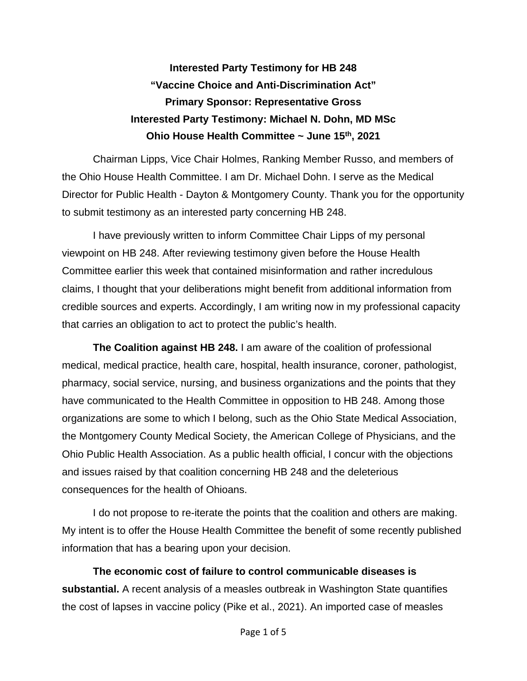**Interested Party Testimony for HB 248 "Vaccine Choice and Anti-Discrimination Act" Primary Sponsor: Representative Gross Interested Party Testimony: Michael N. Dohn, MD MSc Ohio House Health Committee ~ June 15th, 2021**

Chairman Lipps, Vice Chair Holmes, Ranking Member Russo, and members of the Ohio House Health Committee. I am Dr. Michael Dohn. I serve as the Medical Director for Public Health - Dayton & Montgomery County. Thank you for the opportunity to submit testimony as an interested party concerning HB 248.

I have previously written to inform Committee Chair Lipps of my personal viewpoint on HB 248. After reviewing testimony given before the House Health Committee earlier this week that contained misinformation and rather incredulous claims, I thought that your deliberations might benefit from additional information from credible sources and experts. Accordingly, I am writing now in my professional capacity that carries an obligation to act to protect the public's health.

**The Coalition against HB 248.** I am aware of the coalition of professional medical, medical practice, health care, hospital, health insurance, coroner, pathologist, pharmacy, social service, nursing, and business organizations and the points that they have communicated to the Health Committee in opposition to HB 248. Among those organizations are some to which I belong, such as the Ohio State Medical Association, the Montgomery County Medical Society, the American College of Physicians, and the Ohio Public Health Association. As a public health official, I concur with the objections and issues raised by that coalition concerning HB 248 and the deleterious consequences for the health of Ohioans.

I do not propose to re-iterate the points that the coalition and others are making. My intent is to offer the House Health Committee the benefit of some recently published information that has a bearing upon your decision.

**The economic cost of failure to control communicable diseases is substantial.** A recent analysis of a measles outbreak in Washington State quantifies the cost of lapses in vaccine policy (Pike et al., 2021). An imported case of measles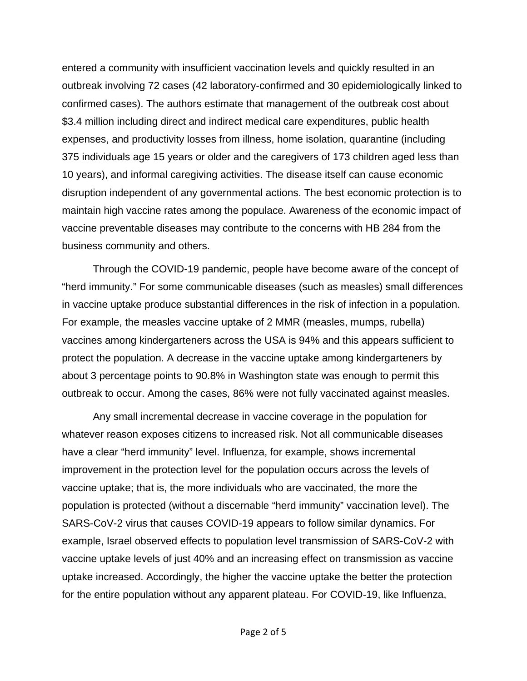entered a community with insufficient vaccination levels and quickly resulted in an outbreak involving 72 cases (42 laboratory-confirmed and 30 epidemiologically linked to confirmed cases). The authors estimate that management of the outbreak cost about \$3.4 million including direct and indirect medical care expenditures, public health expenses, and productivity losses from illness, home isolation, quarantine (including 375 individuals age 15 years or older and the caregivers of 173 children aged less than 10 years), and informal caregiving activities. The disease itself can cause economic disruption independent of any governmental actions. The best economic protection is to maintain high vaccine rates among the populace. Awareness of the economic impact of vaccine preventable diseases may contribute to the concerns with HB 284 from the business community and others.

Through the COVID-19 pandemic, people have become aware of the concept of "herd immunity." For some communicable diseases (such as measles) small differences in vaccine uptake produce substantial differences in the risk of infection in a population. For example, the measles vaccine uptake of 2 MMR (measles, mumps, rubella) vaccines among kindergarteners across the USA is 94% and this appears sufficient to protect the population. A decrease in the vaccine uptake among kindergarteners by about 3 percentage points to 90.8% in Washington state was enough to permit this outbreak to occur. Among the cases, 86% were not fully vaccinated against measles.

Any small incremental decrease in vaccine coverage in the population for whatever reason exposes citizens to increased risk. Not all communicable diseases have a clear "herd immunity" level. Influenza, for example, shows incremental improvement in the protection level for the population occurs across the levels of vaccine uptake; that is, the more individuals who are vaccinated, the more the population is protected (without a discernable "herd immunity" vaccination level). The SARS-CoV-2 virus that causes COVID-19 appears to follow similar dynamics. For example, Israel observed effects to population level transmission of SARS-CoV-2 with vaccine uptake levels of just 40% and an increasing effect on transmission as vaccine uptake increased. Accordingly, the higher the vaccine uptake the better the protection for the entire population without any apparent plateau. For COVID-19, like Influenza,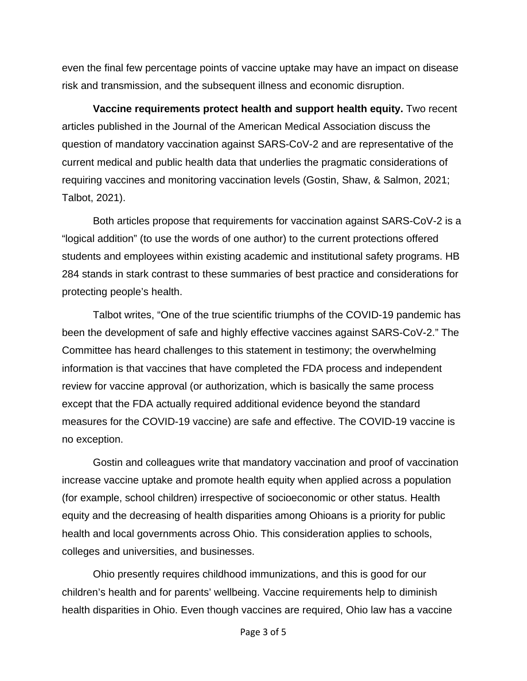even the final few percentage points of vaccine uptake may have an impact on disease risk and transmission, and the subsequent illness and economic disruption.

**Vaccine requirements protect health and support health equity.** Two recent articles published in the Journal of the American Medical Association discuss the question of mandatory vaccination against SARS-CoV-2 and are representative of the current medical and public health data that underlies the pragmatic considerations of requiring vaccines and monitoring vaccination levels (Gostin, Shaw, & Salmon, 2021; Talbot, 2021).

Both articles propose that requirements for vaccination against SARS-CoV-2 is a "logical addition" (to use the words of one author) to the current protections offered students and employees within existing academic and institutional safety programs. HB 284 stands in stark contrast to these summaries of best practice and considerations for protecting people's health.

Talbot writes, "One of the true scientific triumphs of the COVID-19 pandemic has been the development of safe and highly effective vaccines against SARS-CoV-2." The Committee has heard challenges to this statement in testimony; the overwhelming information is that vaccines that have completed the FDA process and independent review for vaccine approval (or authorization, which is basically the same process except that the FDA actually required additional evidence beyond the standard measures for the COVID-19 vaccine) are safe and effective. The COVID-19 vaccine is no exception.

Gostin and colleagues write that mandatory vaccination and proof of vaccination increase vaccine uptake and promote health equity when applied across a population (for example, school children) irrespective of socioeconomic or other status. Health equity and the decreasing of health disparities among Ohioans is a priority for public health and local governments across Ohio. This consideration applies to schools, colleges and universities, and businesses.

Ohio presently requires childhood immunizations, and this is good for our children's health and for parents' wellbeing. Vaccine requirements help to diminish health disparities in Ohio. Even though vaccines are required, Ohio law has a vaccine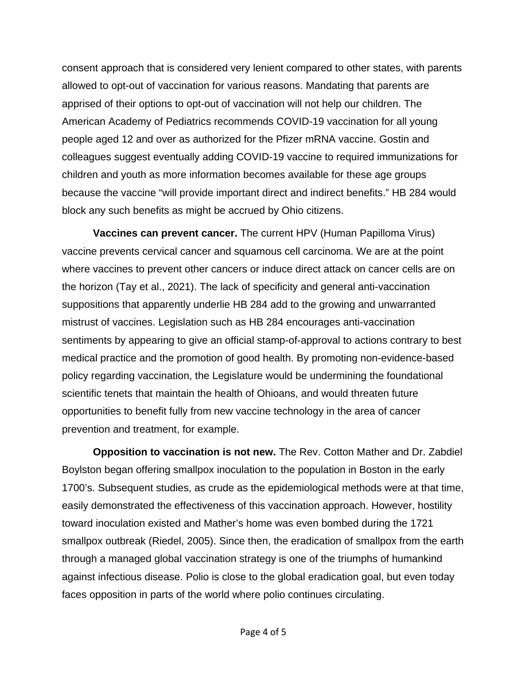consent approach that is considered very lenient compared to other states, with parents allowed to opt-out of vaccination for various reasons. Mandating that parents are apprised of their options to opt-out of vaccination will not help our children. The American Academy of Pediatrics recommends COVID-19 vaccination for all young people aged 12 and over as authorized for the Pfizer mRNA vaccine. Gostin and colleagues suggest eventually adding COVID-19 vaccine to required immunizations for children and youth as more information becomes available for these age groups because the vaccine "will provide important direct and indirect benefits." HB 284 would block any such benefits as might be accrued by Ohio citizens.

**Vaccines can prevent cancer.** The current HPV (Human Papilloma Virus) vaccine prevents cervical cancer and squamous cell carcinoma. We are at the point where vaccines to prevent other cancers or induce direct attack on cancer cells are on the horizon (Tay et al., 2021). The lack of specificity and general anti-vaccination suppositions that apparently underlie HB 284 add to the growing and unwarranted mistrust of vaccines. Legislation such as HB 284 encourages anti-vaccination sentiments by appearing to give an official stamp-of-approval to actions contrary to best medical practice and the promotion of good health. By promoting non-evidence-based policy regarding vaccination, the Legislature would be undermining the foundational scientific tenets that maintain the health of Ohioans, and would threaten future opportunities to benefit fully from new vaccine technology in the area of cancer prevention and treatment, for example.

**Opposition to vaccination is not new.** The Rev. Cotton Mather and Dr. Zabdiel Boylston began offering smallpox inoculation to the population in Boston in the early 1700's. Subsequent studies, as crude as the epidemiological methods were at that time, easily demonstrated the effectiveness of this vaccination approach. However, hostility toward inoculation existed and Mather's home was even bombed during the 1721 smallpox outbreak (Riedel, 2005). Since then, the eradication of smallpox from the earth through a managed global vaccination strategy is one of the triumphs of humankind against infectious disease. Polio is close to the global eradication goal, but even today faces opposition in parts of the world where polio continues circulating.